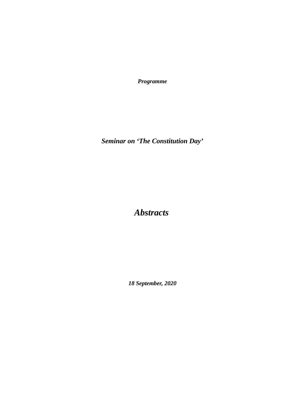*Programme*

*Seminar on 'The Constitution Day'*

 *Abstracts*

*18 September, 2020*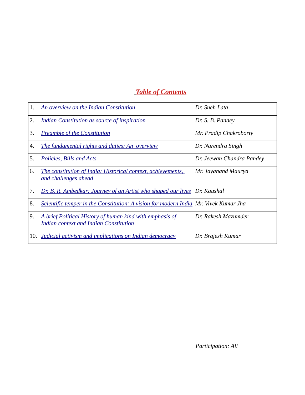# *Table of Contents*

| 1.  | <b>An overview on the Indian Constitution</b>                                                             | Dr. Sneh Lata             |
|-----|-----------------------------------------------------------------------------------------------------------|---------------------------|
| 2.  | <b>Indian Constitution as source of inspiration</b>                                                       | Dr. S. B. Pandey          |
| 3.  | <b>Preamble of the Constitution</b>                                                                       | Mr. Pradip Chakroborty    |
| 4.  | <b>The fundamental rights and duties: An overview</b>                                                     | Dr. Narendra Singh        |
| 5.  | Policies, Bills and Acts                                                                                  | Dr. Jeewan Chandra Pandey |
| 6.  | The constitution of India: Historical context, achievements,<br>and challenges ahead                      | Mr. Jayanand Maurya       |
| 7.  | <b>Dr. B. R. Ambedkar: Journey of an Artist who shaped our lives Dr. Kaushal</b>                          |                           |
| 8.  | Scientific temper in the Constitution: A vision for modern India Mr. Vivek Kumar Jha                      |                           |
| 9.  | A brief Political History of human kind with emphasis of<br><b>Indian context and Indian Constitution</b> | Dr. Rakesh Mazumder       |
| 10. | <b>Judicial activism and implications on Indian democracy</b>                                             | Dr. Brajesh Kumar         |

 *Participation: All*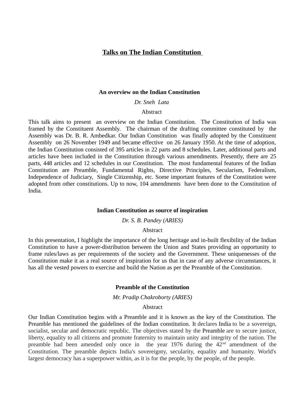# **Talks on The Indian Constitution**

#### **An overview on the Indian Constitution**

*Dr. Sneh Lata* 

## **Abstract**

This talk aims to present an overview on the Indian Constitution. The Constitution of India was framed by the Constituent Assembly. The chairman of the drafting committee constituted by the Assembly was Dr. B. R. Ambedkar. Our Indian Constitution was finally adopted by the Constituent Assembly on 26 November 1949 and became effective on 26 January 1950. At the time of adoption, the Indian Constitution consisted of 395 articles in 22 parts and 8 schedules. Later, additional parts and articles have been included in the Constitution through various amendments. Presently, there are 25 parts, 448 articles and 12 schedules in our Constitution. The most fundamental features of the Indian Constitution are Preamble, Fundamental Rights, Directive Principles, Secularism, Federalism, Independence of Judiciary, Single Citizenship, etc. Some important features of the Constitution were adopted from other constitutions. Up to now, 104 amendments have been done to the Constitution of India.

#### **Indian Constitution as source of inspiration**

#### *Dr. S. B. Pandey (ARIES)*

### **Abstract**

In this presentation, I highlight the importance of the long heritage and in-built flexibility of the Indian Constitution to have a power-distribution between the Union and States providing an opportunity to frame rules/laws as per requirements of the society and the Government. These uniquenesses of the Constitution make it as a real source of inspiration for us that in case of any adverse circumstances, it has all the vested powers to exercise and build the Nation as per the Preamble of the Constitution.

#### **Preamble of the Constitution**

*Mr. Pradip Chakroborty (ARIES)*

## **Abstract**

Our Indian Constitution begins with a Preamble and it is known as the key of the Constitution. The Preamble has mentioned the guidelines of the Indian constitution. It declares India to be a sovereign, socialist, secular and democratic republic. The objectives stated by the Preamble are to secure justice, liberty, equality to all citizens and promote fraternity to maintain unity and integrity of the nation. The preamble had been amended only once in the year 1976 during the  $42<sup>nd</sup>$  amendment of the Constitution. The preamble depicts India's sovereignty, secularity, equality and humanity. World's largest democracy has a superpower within, as it is for the people, by the people, of the people.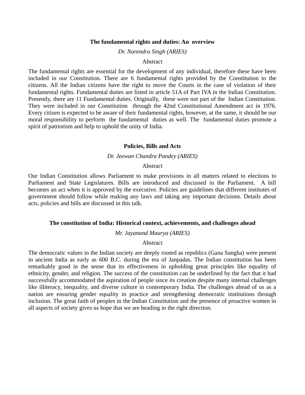#### **The fundamental rights and duties: An overview**

*Dr. Narendra Singh (ARIES)*

### Abstract

The fundamental rights are essential for the development of any individual, therefore these have been included in our Constitution. There are 6 fundamental rights provided by the Constitution to the citizens. All the Indian citizens have the right to move the Courts in the case of violation of their fundamental rights. Fundamental duties are listed in article 51A of Part IVA in the Indian Constitution. Presently, there are 11 Fundamental duties. Originally, these were not part of the Indian Constitution. They were included in our Constitution through the 42nd Constitutional Amendment act in 1976. Every citizen is expected to be aware of their fundamental rights, however, at the same, it should be our moral responsibility to perform the fundamental duties as well. The fundamental duties promote a spirit of patriotism and help to uphold the unity of India.

#### **Policies, Bills and Acts**

## *Dr. Jeewan Chandra Pandey (ARIES)*

#### Abstract

Our Indian Constitution allows Parliament to make provisions in all matters related to elections to Parliament and State Legislatures. Bills are introduced and discussed in the Parliament. A bill becomes an act when it is approved by the executive. Policies are guidelines that different institutes of government should follow while making any laws and taking any important decisions. Details about acts, policies and bills are discussed in this talk.

### **The constitution of India: Historical context, achievements, and challenges ahead**

*Mr. Jayanand Maurya (ARIES)*

#### Abstract

The democratic values in the Indian society are deeply rooted as republics (Gana Sangha) were present in ancient India as early as 600 B.C. during the era of Janpadas. The Indian constitution has been remarkably good in the sense that its effectiveness in upholding great principles like equality of ethnicity, gender, and religion. The success of the constitution can be underlined by the fact that it had successfully accommodated the aspiration of people since its creation despite many internal challenges like illiteracy, inequality, and diverse culture in contemporary India. The challenges ahead of us as a nation are ensuring gender equality in practice and strengthening democratic institutions through inclusion. The great faith of peoples in the Indian Constitution and the presence of proactive women in all aspects of society gives us hope that we are heading in the right direction.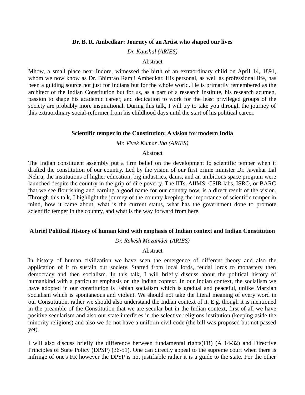## **Dr. B. R. Ambedkar: Journey of an Artist who shaped our lives**

## *Dr. Kaushal (ARIES)*

## Abstract

Mhow, a small place near Indore, witnessed the birth of an extraordinary child on April 14, 1891, whom we now know as Dr. Bhimrao Ramji Ambedkar. His personal, as well as professional life, has been a guiding source not just for Indians but for the whole world. He is primarily remembered as the architect of the Indian Constitution but for us, as a part of a research institute, his research acumen, passion to shape his academic career, and dedication to work for the least privileged groups of the society are probably more inspirational. During this talk, I will try to take you through the journey of this extraordinary social-reformer from his childhood days until the start of his political career.

#### **Scientific temper in the Constitution: A vision for modern India**

*Mr. Vivek Kumar Jha (ARIES)*

## Abstract

The Indian constituent assembly put a firm belief on the development fo scientific temper when it drafted the constitution of our country. Led by the vision of our first prime minister Dr. Jawahar Lal Nehru, the institutions of higher education, big industries, dams, and an ambitious space program were launched despite the country in the grip of dire poverty. The IITs, AIIMS, CSIR labs, ISRO, or BARC that we see flourishing and earning a good name for our country now, is a direct result of the vision. Through this talk, I highlight the journey of the country keeping the importance of scientific temper in mind, how it came about, what is the current status, what has the government done to promote scientific temper in the country, and what is the way forward from here.

## **A brief Political History of human kind with emphasis of Indian context and Indian Constitution**

*Dr. Rakesh Mazumder (ARIES)*

## **Abstract**

In history of human civilization we have seen the emergence of different theory and also the application of it to sustain our society. Started from local lords, feudal lords to monastery then democracy and then socialism. In this talk, I will briefly discuss about the political history of humankind with a particular emphasis on the Indian context. In our Indian context, the socialism we have adopted in our constitution is Fabian socialism which is gradual and peaceful, unlike Marxian socialism which is spontaneous and violent. We should not take the literal meaning of every word in our Constitution, rather we should also understand the Indian context of it. E.g. though it is mentioned in the preamble of the Constitution that we are secular but in the Indian context, first of all we have positive secularism and also our state interferes in the selective religions institution (keeping aside the minority religions) and also we do not have a uniform civil code (the bill was proposed but not passed yet).

I will also discuss briefly the difference between fundamental rights(FR) (A 14-32) and Directive Principles of State Policy (DPSP) (36-51). One can directly appeal to the supreme court when there is infringe of one's FR however the DPSP is not justifiable rather it is a guide to the state. For the other